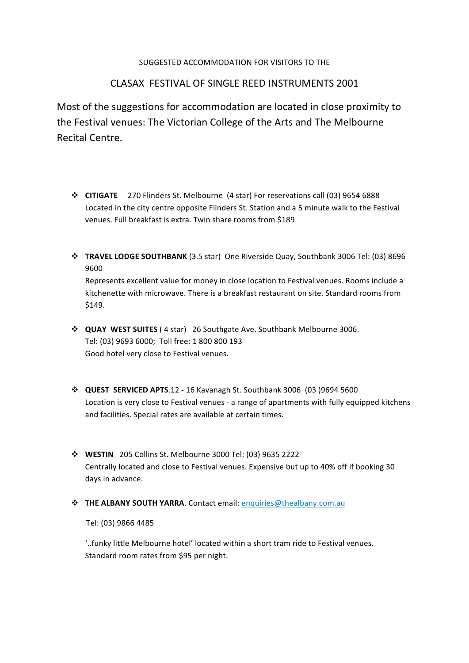#### SUGGESTED ACCOMMODATION FOR VISITORS TO THE

## CLASAX FESTIVAL OF SINGLE REED INSTRUMENTS 2001

Most of the suggestions for accommodation are located in close proximity to the Festival venues: The Victorian College of the Arts and The Melbourne Recital Centre.

- **CITIGATE** 270 Flinders St. Melbourne (4 star) For reservations call (03) 9654 6888 Located in the city centre opposite Flinders St. Station and a 5 minute walk to the Festival venues. Full breakfast is extra. Twin share rooms from \$189
- $*$  **TRAVEL LODGE SOUTHBANK** (3.5 star) One Riverside Quay, Southbank 3006 Tel: (03) 8696 9600 Represents excellent value for money in close location to Festival venues. Rooms include a

kitchenette with microwave. There is a breakfast restaurant on site. Standard rooms from \$149.

- $\cdot$  QUAY WEST SUITES (4 star) 26 Southgate Ave. Southbank Melbourne 3006. Tel: (03) 9693 6000; Toll free: 1 800 800 193 Good hotel very close to Festival venues.
- **↓ QUEST SERVICED APTS**.12 16 Kavanagh St. Southbank 3006 (03 )9694 5600 Location is very close to Festival venues - a range of apartments with fully equipped kitchens and facilities. Special rates are available at certain times.
- **WESTIN** 205 Collins St. Melbourne 3000 Tel: (03) 9635 2222 Centrally located and close to Festival venues. Expensive but up to 40% off if booking 30 days in advance.
- **THE ALBANY SOUTH YARRA**. Contact email: **enquiries@thealbany.com.au**

Tel: (03) 9866 4485

'..funky little Melbourne hotel' located within a short tram ride to Festival venues. Standard room rates from \$95 per night.